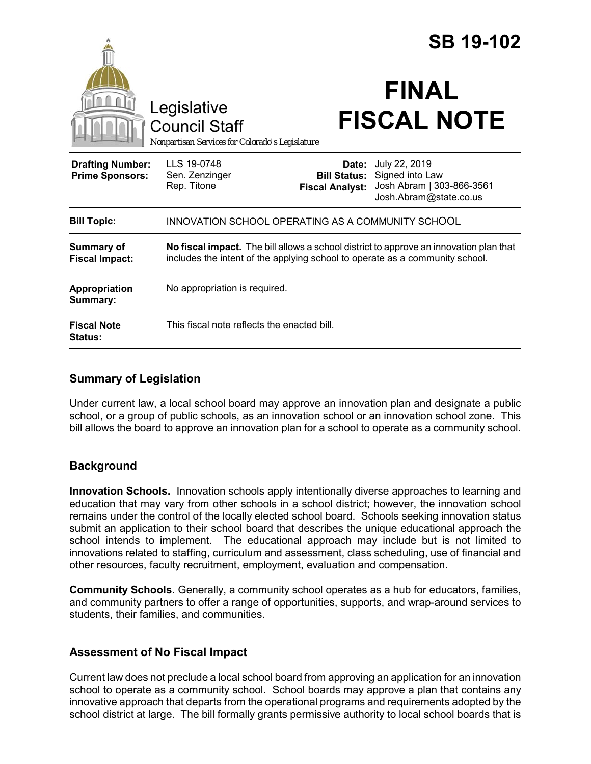|                                                   |                                                                                                                                                                        |                                 | <b>SB 19-102</b>                                                                                            |
|---------------------------------------------------|------------------------------------------------------------------------------------------------------------------------------------------------------------------------|---------------------------------|-------------------------------------------------------------------------------------------------------------|
|                                                   | Legislative<br><b>Council Staff</b><br>Nonpartisan Services for Colorado's Legislature                                                                                 |                                 | <b>FINAL</b><br><b>FISCAL NOTE</b>                                                                          |
| <b>Drafting Number:</b><br><b>Prime Sponsors:</b> | LLS 19-0748<br>Sen. Zenzinger<br>Rep. Titone                                                                                                                           | Date:<br><b>Fiscal Analyst:</b> | July 22, 2019<br><b>Bill Status:</b> Signed into Law<br>Josh Abram   303-866-3561<br>Josh.Abram@state.co.us |
| <b>Bill Topic:</b>                                | INNOVATION SCHOOL OPERATING AS A COMMUNITY SCHOOL                                                                                                                      |                                 |                                                                                                             |
| <b>Summary of</b><br><b>Fiscal Impact:</b>        | No fiscal impact. The bill allows a school district to approve an innovation plan that<br>includes the intent of the applying school to operate as a community school. |                                 |                                                                                                             |
| <b>Appropriation</b><br>Summary:                  | No appropriation is required.                                                                                                                                          |                                 |                                                                                                             |
| <b>Fiscal Note</b><br>Status:                     | This fiscal note reflects the enacted bill.                                                                                                                            |                                 |                                                                                                             |

## **Summary of Legislation**

Under current law, a local school board may approve an innovation plan and designate a public school, or a group of public schools, as an innovation school or an innovation school zone. This bill allows the board to approve an innovation plan for a school to operate as a community school.

# **Background**

**Innovation Schools.** Innovation schools apply intentionally diverse approaches to learning and education that may vary from other schools in a school district; however, the innovation school remains under the control of the locally elected school board. Schools seeking innovation status submit an application to their school board that describes the unique educational approach the school intends to implement. The educational approach may include but is not limited to innovations related to staffing, curriculum and assessment, class scheduling, use of financial and other resources, faculty recruitment, employment, evaluation and compensation.

**Community Schools.** Generally, a community school operates as a hub for educators, families, and community partners to offer a range of opportunities, supports, and wrap-around services to students, their families, and communities.

## **Assessment of No Fiscal Impact**

Current law does not preclude a local school board from approving an application for an innovation school to operate as a community school. School boards may approve a plan that contains any innovative approach that departs from the operational programs and requirements adopted by the school district at large. The bill formally grants permissive authority to local school boards that is